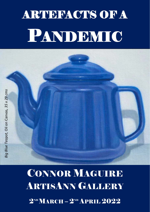# **ARTEHACTS OF A** PANDEMIC

## CONNOR MAGUIRE **ARTISANN GALLERY**  $2^{\text{ND}}$ MARCH –  $2^{\text{ND}}$  APRIL  $2022$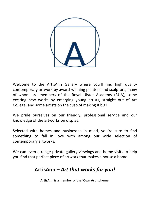

Welcome to the ArtisAnn Gallery where you'll find high quality contemporary artwork by award-winning painters and sculptors, many of whom are members of the Royal Ulster Academy (RUA), some exciting new works by emerging young artists, straight out of Art College, and some artists on the cusp of making it big!

We pride ourselves on our friendly, professional service and our knowledge of the artworks on display.

Selected with homes and businesses in mind, you're sure to find something to fall in love with among our wide selection of contemporary artworks.

We can even arrange private gallery viewings and home visits to help you find that perfect piece of artwork that makes a house a home!

### **ArtisAnn –** *Art that works for you!*

**ArtisAnn** is a member of the '**Own Art'** scheme,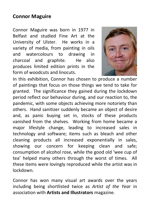### **Connor Maguire**

Connor Maguire was born in 1977 in Belfast and studied Fine Art at the University of Ulster. He works in a variety of media, from painting in oils and watercolours to drawing in charcoal and graphite. He also produces limited edition prints in the form of woodcuts and linocuts.



In this exhibition, Connor has chosen to produce a number of paintings that focus on those things we tend to take for granted. The significance they gained during the lockdown period reflect our behaviour during, and our reaction to, the pandemic, with some objects achieving more notoriety than others. Hand sanitizer suddenly became an object of desire and, as panic buying set in, stocks of these products vanished from the shelves. Working from home became a major lifestyle change, leading to increased sales in technology and software; items such as bleach and other cleaning products all increased exponentially in sales, showing our concern for keeping clean and safe; consumption of alcohol rose, while the good old 'wee cup of tea' helped many others through the worst of times. All these items were lovingly reproduced while the artist was in lockdown.

Connor has won many visual art awards over the years including being shortlisted twice as *Artist of the Yea*r in association with **Artists and Illustrators** magazine.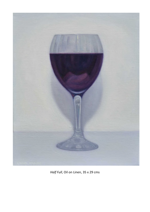

*Half Full*, Oil on Linen, 35 x 29 cms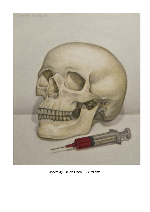

*Mortality*, Oil on Linen, 35 x 29 cms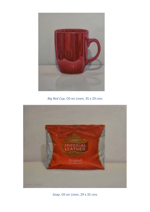

*Big Red Cup*, Oil on Linen, 35 x 29 cms



*Soap*, Oil on Linen, 29 x 35 cms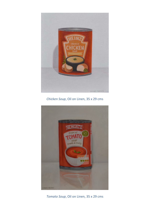

*Chicken Soup*, Oil on Linen, 35 x 29 cms



*Tomato Soup*, Oil on Linen, 35 x 29 cms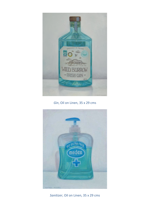

*Gin*, Oil on Linen, 35 x 29 cms



*Sanitizer*, Oil on Linen, 35 x 29 cms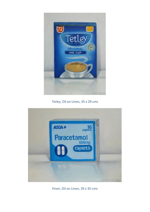

*Tetley*, Oil on Linen, 35 x 29 cms



*Fever*, Oil on Linen, 29 x 35 cms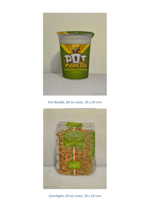

*Pot Noodle*, Oil on Linen, 35 x 29 cms



*Conchiglie*, Oil on Linen, 35 x 29 cms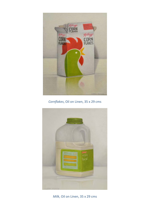

*Cornflakes*, Oil on Linen, 35 x 29 cms



*Milk*, Oil on Linen, 35 x 29 cms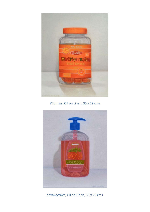

*Vitamins*, Oil on Linen, 35 x 29 cms



*Strawberries*, Oil on Linen, 35 x 29 cms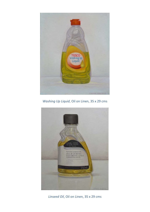

*Washing Up Liquid*, Oil on Linen, 35 x 29 cms



*Linseed Oil*, Oil on Linen, 35 x 29 cms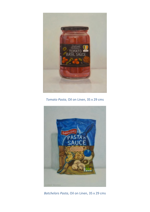

*Tomato Pasta*, Oil on Linen, 35 x 29 cms



*Batchelors Pasta*, Oil on Linen, 35 x 29 cms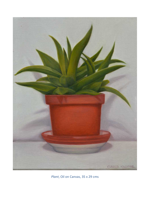

*Plant*, Oil on Canvas, 35 x 29 cms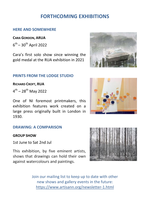### **FORTHCOMING EXHIBITIONS**

#### **HERE AND SOMEWHERE**

#### **CARA GORDON, ARUA**

 $6^{th}$  – 30<sup>th</sup> April 2022

Cara's first solo show since winning the gold medal at the RUA exhibition in 2021

#### **PRINTS FROM THE LODGE STUDIO**

#### **RICHARD CROFT, RUA**

 $4^{th}$  – 28<sup>th</sup> May 2022

One of NI foremost printmakers, this exhibition features work created on a large press originally built in London in 1930.

#### **DRAWING: A COMPARISON**

#### **GROUP SHOW**

1st June to Sat 2nd Jul

This exhibition, by five eminent artists, shows that drawings can hold their own against watercolours and paintings.

> Join our mailing list to keep up to date with other new shows and gallery events in the future: <https://www.artisann.org/newsletter-1.html>





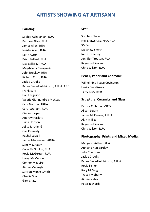#### **ARTISTS SHOWING AT ARTISANN**

#### **Painting:**

Sophie Aghajanian, RUA Barbara Allen, RUA James Allen, RUA Neisha Allen, RUA Keith Ayton Brian Ballard, RUA Lisa Ballard, ARUA Magdalena Blazejewicz John Breakey, RUA Richard Croft, RUA Jackie Crooks Karen Daye-Hutchinson, ARUA. ARE Frank Eyre Dan Ferguson Valerie Giannandrea McKeag Cara Gordon, ARUA Carol Graham, RUA Ciarán Harper Andrew Haslett Trina Hobson Jolita Jarutiené Gail Kennedy Rachel Lawell James MacKeever, ARUA Sam McCready Colin McGookin, RUA Rosie McGurran, RUA Harry McMahon Connor Maguire Aimee Melaugh Saffron Monks-Smith Charlie Scott Gary Shaw

#### *Cont*::

Stephen Shaw Neil Shawcross, RHA, RUA SMEaton Matthew Smyth Irene Sweeney Jennifer Trouton, RUA Raymond Watson Chris Wilson, RUA

#### **Pencil, Paper and Charcoal:**

Wilhelmina Peace Covington Lenka Davidikova Terry McAllister

#### **Sculpture, Ceramics and Glass:**

Patrick Colhoun, MRSS Alison Lowry James McKeever, ARUA Alan Milligan Raymond Watson Chris Wilson, RUA

#### **Photography, Prints and Mixed Media:**

Margaret Arthur, RUA Ann and Ken Bartley Julie Corcoran Jackie Crooks Karen Daye-Hutchinson, ARUA Rosie Fisher Rory McVeigh Tracey Moberly Aimée Nelson Peter Richards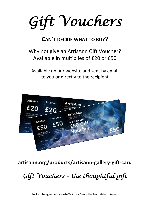*Gift Vouchers* 

### **CAN'T DECIDE WHAT TO BUY?**

### Why not give an ArtisAnn Gift Voucher? Available in multiplies of £20 or £50

Available on our website and sent by email to you or directly to the recipient



### **artisann.org/products/artisann-gallery-gift-card**

## *Gift Vouchers – the thoughtful gift*

Not exchangeable for cash/Valid for 6 months from date of issue.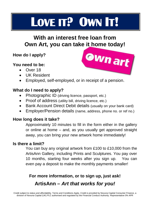## LOVE IT? OWN **IT!**

### **With an interest free loan from Own Art, you can take it home today!**

### **How do I apply?**

#### **You need to be:**

- Over 18
- UK Resident
- Employed, self-employed, or in receipt of a pension.

#### **What do I need to apply?**

- Photographic ID (driving licence, passport, etc.)
- Proof of address (utility bill, driving licence, etc.)
- Bank Account Direct Debit details (usually on your bank card)
- Employer/Pension details (name, address, phone no. or ref no.)

#### **How long does it take?**

Approximately 10 minutes to fill in the form either in the gallery or online at home – and, as you usually get approved straight away, you can bring your new artwork home immediately!

#### **Is there a limit?**

You can buy any original artwork from £100 to £10,000 from the ArtisAnn Gallery, including Prints and Sculptures. You pay over 10 months, starting four weeks after you sign up. You can even pay a deposit to make the monthly payments smaller!

### **For more information, or to sign up, just ask! ArtisAnn** *– Art that works for you!*